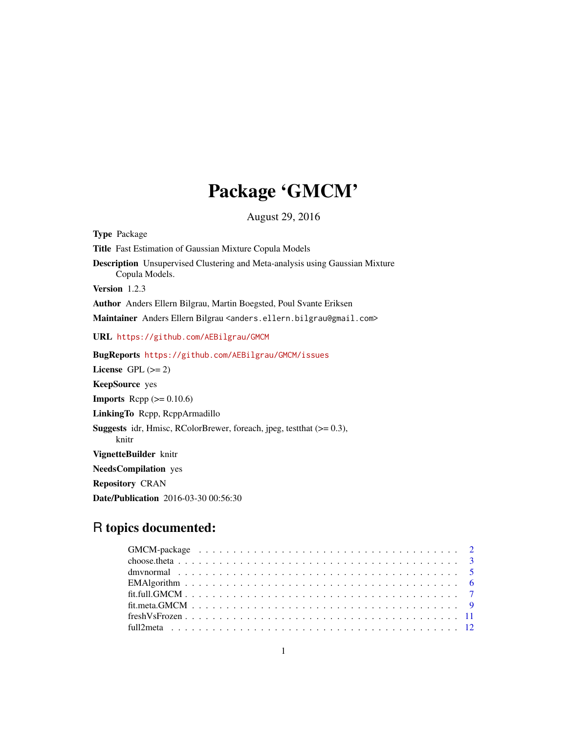# Package 'GMCM'

August 29, 2016

<span id="page-0-0"></span>Type Package Title Fast Estimation of Gaussian Mixture Copula Models Description Unsupervised Clustering and Meta-analysis using Gaussian Mixture Copula Models. Version 1.2.3 Author Anders Ellern Bilgrau, Martin Boegsted, Poul Svante Eriksen Maintainer Anders Ellern Bilgrau <anders.ellern.bilgrau@gmail.com> URL <https://github.com/AEBilgrau/GMCM> BugReports <https://github.com/AEBilgrau/GMCM/issues> License GPL  $(>= 2)$ KeepSource yes **Imports** Rcpp  $(>= 0.10.6)$ LinkingTo Rcpp, RcppArmadillo Suggests idr, Hmisc, RColorBrewer, foreach, jpeg, testthat (>= 0.3), knitr VignetteBuilder knitr NeedsCompilation yes Repository CRAN Date/Publication 2016-03-30 00:56:30

# R topics documented: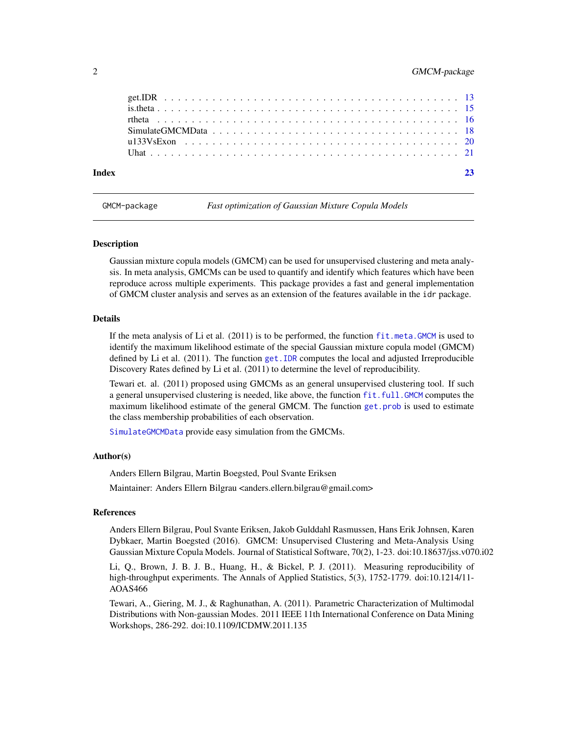# <span id="page-1-0"></span>2 GMCM-package

| Index |  |
|-------|--|
|       |  |
|       |  |
|       |  |
|       |  |
|       |  |
|       |  |

GMCM-package *Fast optimization of Gaussian Mixture Copula Models*

#### Description

Gaussian mixture copula models (GMCM) can be used for unsupervised clustering and meta analysis. In meta analysis, GMCMs can be used to quantify and identify which features which have been reproduce across multiple experiments. This package provides a fast and general implementation of GMCM cluster analysis and serves as an extension of the features available in the idr package.

#### Details

If the meta analysis of Li et al. (2011) is to be performed, the function [fit.meta.GMCM](#page-8-1) is used to identify the maximum likelihood estimate of the special Gaussian mixture copula model (GMCM) defined by Li et al. (2011). The function [get.IDR](#page-12-1) computes the local and adjusted Irreproducible Discovery Rates defined by Li et al. (2011) to determine the level of reproducibility.

Tewari et. al. (2011) proposed using GMCMs as an general unsupervised clustering tool. If such a general unsupervised clustering is needed, like above, the function [fit.full.GMCM](#page-6-1) computes the maximum likelihood estimate of the general GMCM. The function [get.prob](#page-12-2) is used to estimate the class membership probabilities of each observation.

[SimulateGMCMData](#page-17-1) provide easy simulation from the GMCMs.

#### Author(s)

Anders Ellern Bilgrau, Martin Boegsted, Poul Svante Eriksen

Maintainer: Anders Ellern Bilgrau <anders.ellern.bilgrau@gmail.com>

#### References

Anders Ellern Bilgrau, Poul Svante Eriksen, Jakob Gulddahl Rasmussen, Hans Erik Johnsen, Karen Dybkaer, Martin Boegsted (2016). GMCM: Unsupervised Clustering and Meta-Analysis Using Gaussian Mixture Copula Models. Journal of Statistical Software, 70(2), 1-23. doi:10.18637/jss.v070.i02

Li, Q., Brown, J. B. J. B., Huang, H., & Bickel, P. J. (2011). Measuring reproducibility of high-throughput experiments. The Annals of Applied Statistics, 5(3), 1752-1779. doi:10.1214/11- AOAS466

Tewari, A., Giering, M. J., & Raghunathan, A. (2011). Parametric Characterization of Multimodal Distributions with Non-gaussian Modes. 2011 IEEE 11th International Conference on Data Mining Workshops, 286-292. doi:10.1109/ICDMW.2011.135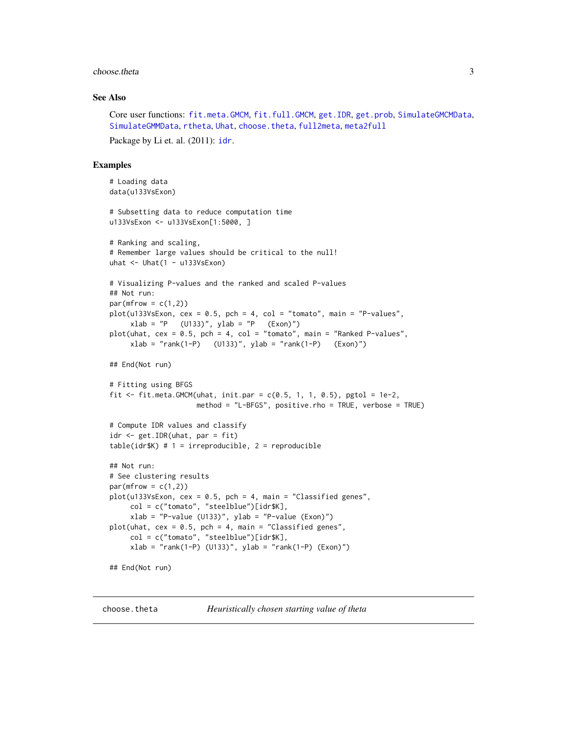#### <span id="page-2-0"></span>choose.theta 3

# See Also

```
Core user functions: fit.meta.GMCM, fit.full.GMCM, get.IDR, get.prob, SimulateGMCMData,
SimulateGMMData, rtheta, Uhat, choose.theta, full2meta, meta2full
Package by Li et. al. (2011): idr.
```
#### Examples

```
# Loading data
data(u133VsExon)
# Subsetting data to reduce computation time
u133VsExon <- u133VsExon[1:5000, ]
# Ranking and scaling,
# Remember large values should be critical to the null!
uhat \leftarrow Uhat(1 - u133VsExon)# Visualizing P-values and the ranked and scaled P-values
## Not run:
par(mfrow = c(1,2))plot(u133VsExon, cex = 0.5, pch = 4, col = "tomato", main = "P-values",xlab = "P (U133)", ylab = "P (Exon)"plot(uhat, cex = 0.5, pch = 4, col = "tomato", main = "Ranked P-values",xlab = "rank(1-P) (U133)", ylab = "rank(1-P) (Exon)")
## End(Not run)
# Fitting using BFGS
fit \le fit.meta.GMCM(uhat, init.par = c(0.5, 1, 1, 0.5), pgtol = 1e-2,
                     method = "L-BFGS", positive.rho = TRUE, verbose = TRUE)
# Compute IDR values and classify
idr <- get.IDR(uhat, par = fit)
table(idr # 1 = irreproducible, 2 = reproducible## Not run:
# See clustering results
par(mfrow = c(1,2))plot(u133VsExon, cex = 0.5, pch = 4, main = "Classified genes",col = c("tomato", "steelblue")[idr$K],
     xlab = "P-value (U133)", ylab = "P-value (Exon)")plot(uhat, cex = 0.5, pch = 4, main = "Classified genes",
     col = c("tomato", "steelblue")[idr$K],
     xlab = "rank(1-P) (U133)', ylab = "rank(1-P) (Exon)")## End(Not run)
```
<span id="page-2-1"></span>choose.theta *Heuristically chosen starting value of theta*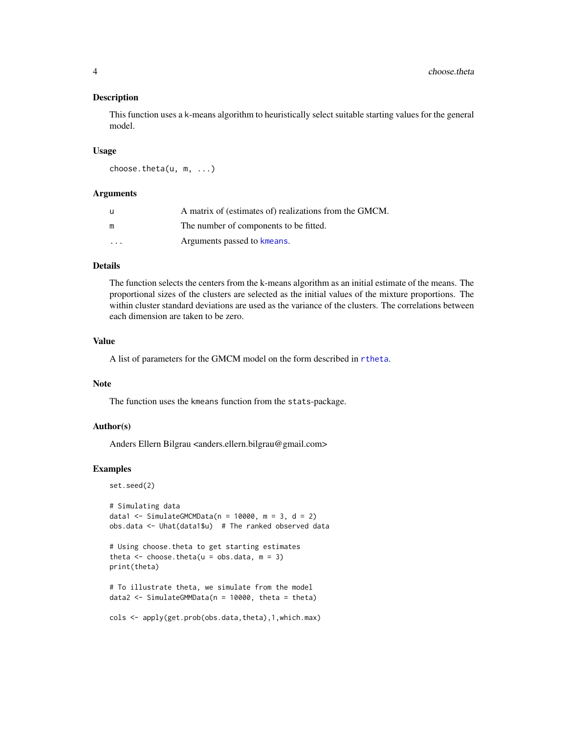#### <span id="page-3-0"></span>Description

This function uses a k-means algorithm to heuristically select suitable starting values for the general model.

#### Usage

```
choose.theta(u, m, ...)
```
# Arguments

| -u                   | A matrix of (estimates of) realizations from the GMCM. |
|----------------------|--------------------------------------------------------|
| m                    | The number of components to be fitted.                 |
| $\ddot{\phantom{0}}$ | Arguments passed to kmeans.                            |

# Details

The function selects the centers from the k-means algorithm as an initial estimate of the means. The proportional sizes of the clusters are selected as the initial values of the mixture proportions. The within cluster standard deviations are used as the variance of the clusters. The correlations between each dimension are taken to be zero.

# Value

A list of parameters for the GMCM model on the form described in [rtheta](#page-15-1).

#### Note

The function uses the kmeans function from the stats-package.

#### Author(s)

Anders Ellern Bilgrau <anders.ellern.bilgrau@gmail.com>

#### Examples

```
set.seed(2)
```

```
# Simulating data
data1 <- SimulateGMCMData(n = 10000, m = 3, d = 2)
obs.data <- Uhat(data1$u) # The ranked observed data
```

```
# Using choose.theta to get starting estimates
theta \leq choose.theta(u = obs.data, m = 3)
print(theta)
```

```
# To illustrate theta, we simulate from the model
data2 <- SimulateGMMData(n = 10000, theta = theta)
```

```
cols <- apply(get.prob(obs.data,theta),1,which.max)
```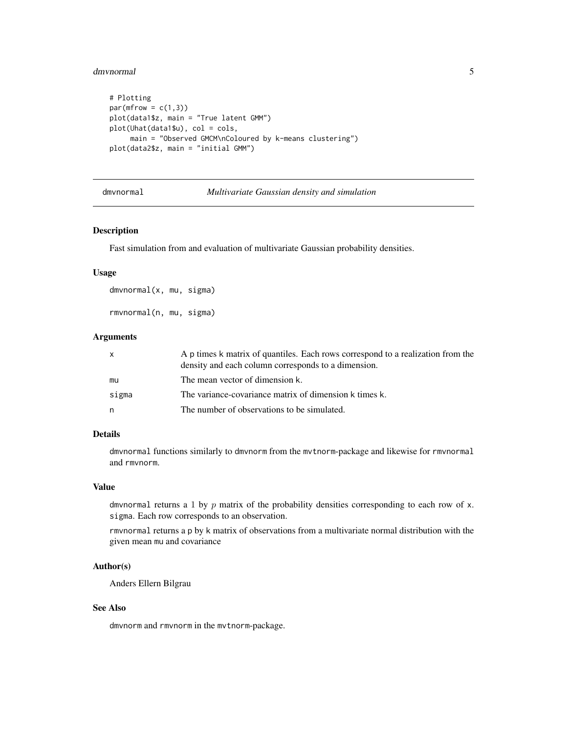#### <span id="page-4-0"></span>dmvnormal 55 September 1988 September 1988 September 1988 September 1988 September 1988 September 1988 Septemb

```
# Plotting
par(mfrow = c(1,3))plot(data1$z, main = "True latent GMM")
plot(Uhat(data1$u), col = cols,
    main = "Observed GMCM\nColoured by k-means clustering")
plot(data2$z, main = "initial GMM")
```
#### dmvnormal *Multivariate Gaussian density and simulation*

# Description

Fast simulation from and evaluation of multivariate Gaussian probability densities.

#### Usage

dmvnormal(x, mu, sigma)

rmvnormal(n, mu, sigma)

# Arguments

|       | A p times k matrix of quantiles. Each rows correspond to a realization from the |
|-------|---------------------------------------------------------------------------------|
|       | density and each column corresponds to a dimension.                             |
| mu    | The mean vector of dimension k.                                                 |
| sigma | The variance-covariance matrix of dimension k times k.                          |
| n     | The number of observations to be simulated.                                     |

# Details

dmvnormal functions similarly to dmvnorm from the mvtnorm-package and likewise for rmvnormal and rmvnorm.

#### Value

dmvnormal returns a 1 by  $p$  matrix of the probability densities corresponding to each row of  $x$ . sigma. Each row corresponds to an observation.

rmvnormal returns a p by k matrix of observations from a multivariate normal distribution with the given mean mu and covariance

# Author(s)

Anders Ellern Bilgrau

# See Also

dmvnorm and rmvnorm in the mvtnorm-package.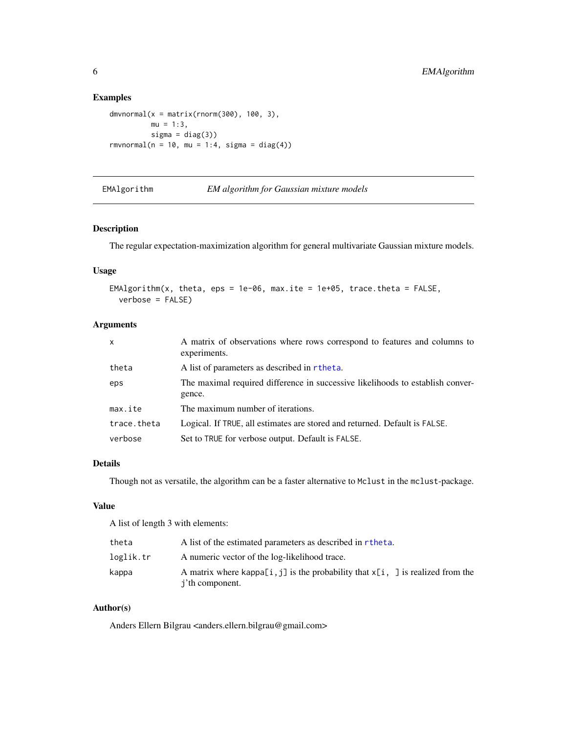# Examples

```
dmvnormal(x = matrix(rnorm(300), 100, 3),mu = 1:3,
         sigma = diag(3))
rmvnormal(n = 10, mu = 1:4, sigma = diag(4))
```
EMAlgorithm *EM algorithm for Gaussian mixture models*

# Description

The regular expectation-maximization algorithm for general multivariate Gaussian mixture models.

# Usage

```
EMAlgorithm(x, theta, eps = 1e-06, max.ite = 1e+05, trace.theta = FALSE,
 verbose = FALSE)
```
# Arguments

| $\mathsf{x}$ | A matrix of observations where rows correspond to features and columns to<br>experiments. |
|--------------|-------------------------------------------------------------------------------------------|
| theta        | A list of parameters as described in rtheta.                                              |
| eps          | The maximal required difference in successive likelihoods to establish conver-<br>gence.  |
| max.ite      | The maximum number of iterations.                                                         |
| trace.theta  | Logical. If TRUE, all estimates are stored and returned. Default is FALSE.                |
| verbose      | Set to TRUE for verbose output. Default is FALSE.                                         |

# Details

Though not as versatile, the algorithm can be a faster alternative to Mclust in the mclust-package.

# Value

A list of length 3 with elements:

| theta     | A list of the estimated parameters as described in rtheta.                                           |
|-----------|------------------------------------------------------------------------------------------------------|
| loglik.tr | A numeric vector of the log-likelihood trace.                                                        |
| kappa     | A matrix where kappa [i, j] is the probability that $x[i, ]$ is realized from the<br>j'th component. |

# Author(s)

Anders Ellern Bilgrau <anders.ellern.bilgrau@gmail.com>

<span id="page-5-0"></span>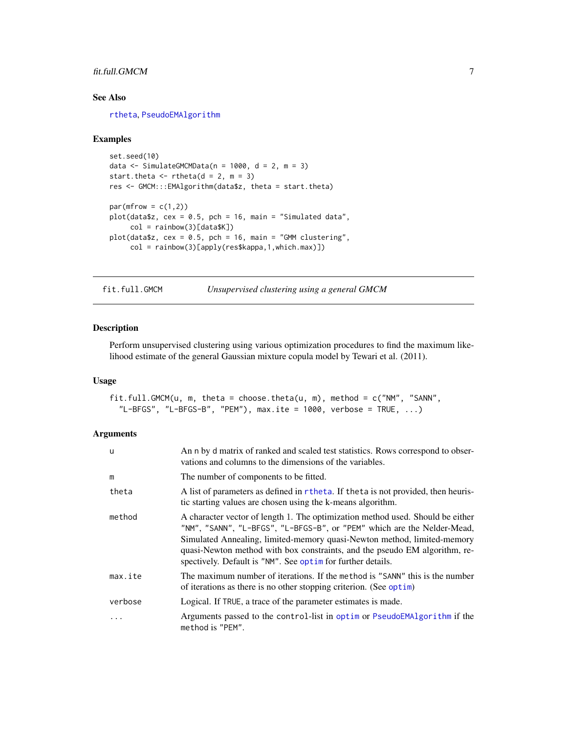# <span id="page-6-0"></span>fit.full.GMCM 7

# See Also

[rtheta](#page-15-1), [PseudoEMAlgorithm](#page-0-0)

#### Examples

```
set.seed(10)
data \le SimulateGMCMData(n = 1000, d = 2, m = 3)
start.theta \le rtheta(d = 2, m = 3)
res <- GMCM:::EMAlgorithm(data$z, theta = start.theta)
par(mfrow = c(1,2))plot(data$z, cex = 0.5, pch = 16, main = "Simulated data",col = rainbow(3)[dataK])plot(data$z, cex = 0.5, pch = 16, main = "GMM clustering",
     col = rainbow(3)[apply(res$kappa,1,which.max)])
```
<span id="page-6-1"></span>fit.full.GMCM *Unsupervised clustering using a general GMCM*

#### Description

Perform unsupervised clustering using various optimization procedures to find the maximum likelihood estimate of the general Gaussian mixture copula model by Tewari et al. (2011).

# Usage

fit.full.GMCM(u, m, theta = choose.theta(u, m), method =  $c("NM", "SANN",$ "L-BFGS", "L-BFGS-B", "PEM"), max.ite =  $1000$ , verbose =  $TRUE$ , ...)

# Arguments

| <b>u</b> | An n by d matrix of ranked and scaled test statistics. Rows correspond to obser-<br>vations and columns to the dimensions of the variables.                                                                                                                                                                                                                                        |
|----------|------------------------------------------------------------------------------------------------------------------------------------------------------------------------------------------------------------------------------------------------------------------------------------------------------------------------------------------------------------------------------------|
| m        | The number of components to be fitted.                                                                                                                                                                                                                                                                                                                                             |
| theta    | A list of parameters as defined in r the ta. If the ta is not provided, then heuris-<br>tic starting values are chosen using the k-means algorithm.                                                                                                                                                                                                                                |
| method   | A character vector of length 1. The optimization method used. Should be either<br>"NM", "SANN", "L-BFGS", "L-BFGS-B", or "PEM" which are the Nelder-Mead,<br>Simulated Annealing, limited-memory quasi-Newton method, limited-memory<br>quasi-Newton method with box constraints, and the pseudo EM algorithm, re-<br>spectively. Default is "NM". See optime for further details. |
| max.ite  | The maximum number of iterations. If the method is "SANN" this is the number<br>of iterations as there is no other stopping criterion. (See optim)                                                                                                                                                                                                                                 |
| verbose  | Logical. If TRUE, a trace of the parameter estimates is made.                                                                                                                                                                                                                                                                                                                      |
| .        | Arguments passed to the control-list in optim or PseudoEMAlgorithm if the<br>method is "PEM".                                                                                                                                                                                                                                                                                      |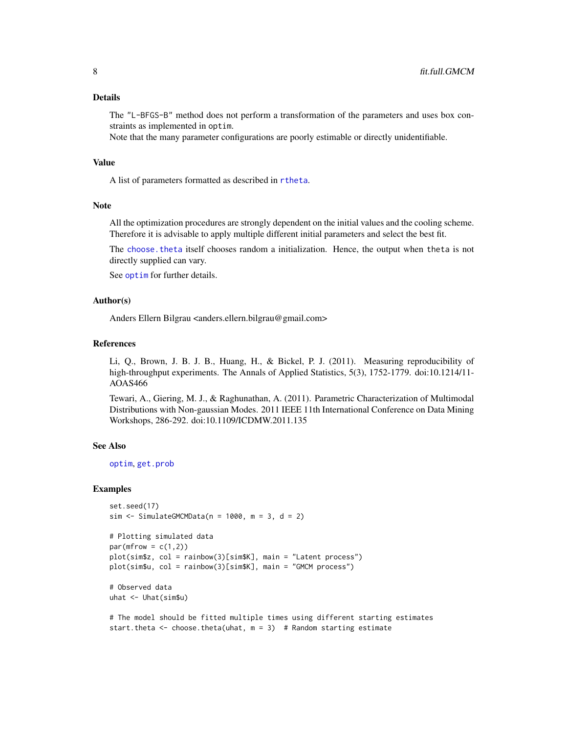#### <span id="page-7-0"></span>Details

The "L-BFGS-B" method does not perform a transformation of the parameters and uses box constraints as implemented in optim.

Note that the many parameter configurations are poorly estimable or directly unidentifiable.

# Value

A list of parameters formatted as described in [rtheta](#page-15-1).

#### **Note**

All the optimization procedures are strongly dependent on the initial values and the cooling scheme. Therefore it is advisable to apply multiple different initial parameters and select the best fit.

The [choose.theta](#page-2-1) itself chooses random a initialization. Hence, the output when theta is not directly supplied can vary.

See [optim](#page-0-0) for further details.

# Author(s)

Anders Ellern Bilgrau <anders.ellern.bilgrau@gmail.com>

#### References

Li, Q., Brown, J. B. J. B., Huang, H., & Bickel, P. J. (2011). Measuring reproducibility of high-throughput experiments. The Annals of Applied Statistics, 5(3), 1752-1779. doi:10.1214/11-AOAS466

Tewari, A., Giering, M. J., & Raghunathan, A. (2011). Parametric Characterization of Multimodal Distributions with Non-gaussian Modes. 2011 IEEE 11th International Conference on Data Mining Workshops, 286-292. doi:10.1109/ICDMW.2011.135

#### See Also

[optim](#page-0-0), [get.prob](#page-12-2)

#### Examples

```
set.seed(17)
sim \le SimulateGMCMData(n = 1000, m = 3, d = 2)
```

```
# Plotting simulated data
par(mfrow = c(1,2))plot(sim$z, col = rainbow(3)[sim$K], main = "Latent process")
plot(sim$u, col = rainbow(3)[sim$K], main = "GMCM process")
```

```
# Observed data
uhat <- Uhat(sim$u)
```

```
# The model should be fitted multiple times using different starting estimates
start.theta \leq choose.theta(uhat, m = 3) # Random starting estimate
```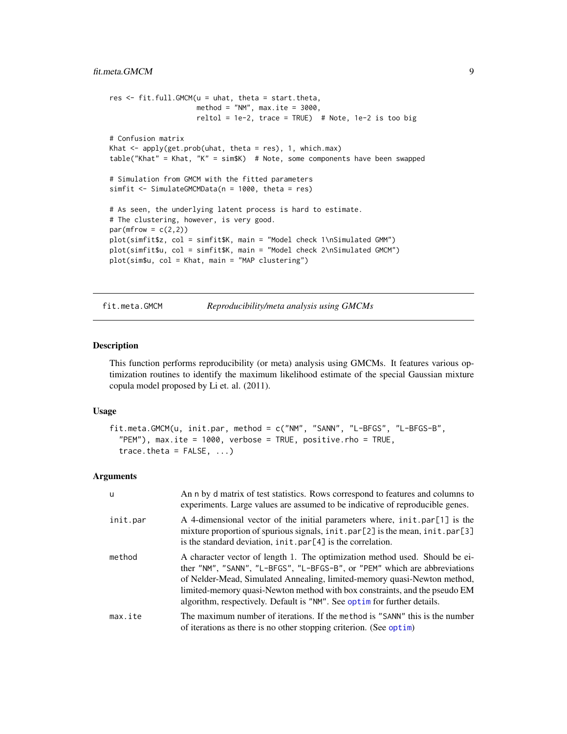```
res <- fit.full.GMCM(u = uhat, theta = start.theta,
                     method = "NM", max.ite = 3000,
                     reltol = 1e-2, trace = TRUE) # Note, 1e-2 is too big
# Confusion matrix
Khat <- apply(get.prob(uhat, theta = res), 1, which.max)
table("Khat" = Khat, "K" = sim$K) # Note, some components have been swapped
# Simulation from GMCM with the fitted parameters
simfit <- SimulateGMCMData(n = 1000, theta = res)
# As seen, the underlying latent process is hard to estimate.
# The clustering, however, is very good.
par(mfrow = c(2,2))plot(simfit$z, col = simfit$K, main = "Model check 1\nSimulated GMM")
plot(simfit$u, col = simfit$K, main = "Model check 2\nSimulated GMCM")
plot(sim$u, col = Khat, main = "MAP clustering")
```
<span id="page-8-1"></span>

fit.meta.GMCM *Reproducibility/meta analysis using GMCMs*

#### **Description**

This function performs reproducibility (or meta) analysis using GMCMs. It features various optimization routines to identify the maximum likelihood estimate of the special Gaussian mixture copula model proposed by Li et. al. (2011).

#### Usage

```
fit.meta.GMCM(u, init.par, method = c("NM", "SANN", "L-BFGS", "L-BFGS-B",
  "PEM"), max.ite = 1000, verbose = TRUE, positive.rho = TRUE,
  trace.theta = FALSE, ...)
```
#### Arguments

| u        | An n by d matrix of test statistics. Rows correspond to features and columns to<br>experiments. Large values are assumed to be indicative of reproducible genes.                                                                                                                                                                                                                               |
|----------|------------------------------------------------------------------------------------------------------------------------------------------------------------------------------------------------------------------------------------------------------------------------------------------------------------------------------------------------------------------------------------------------|
| init.par | A 4-dimensional vector of the initial parameters where, init.par[1] is the<br>mixture proportion of spurious signals, $init.png$ $par[2]$ is the mean, $init.png$<br>is the standard deviation, $init.path$ = $par[4]$ is the correlation.                                                                                                                                                     |
| method   | A character vector of length 1. The optimization method used. Should be ei-<br>ther "NM", "SANN", "L-BFGS", "L-BFGS-B", or "PEM" which are abbreviations<br>of Nelder-Mead, Simulated Annealing, limited-memory quasi-Newton method,<br>limited-memory quasi-Newton method with box constraints, and the pseudo EM<br>algorithm, respectively. Default is "NM". See optim for further details. |
| max.ite  | The maximum number of iterations. If the method is "SANN" this is the number<br>of iterations as there is no other stopping criterion. (See optim)                                                                                                                                                                                                                                             |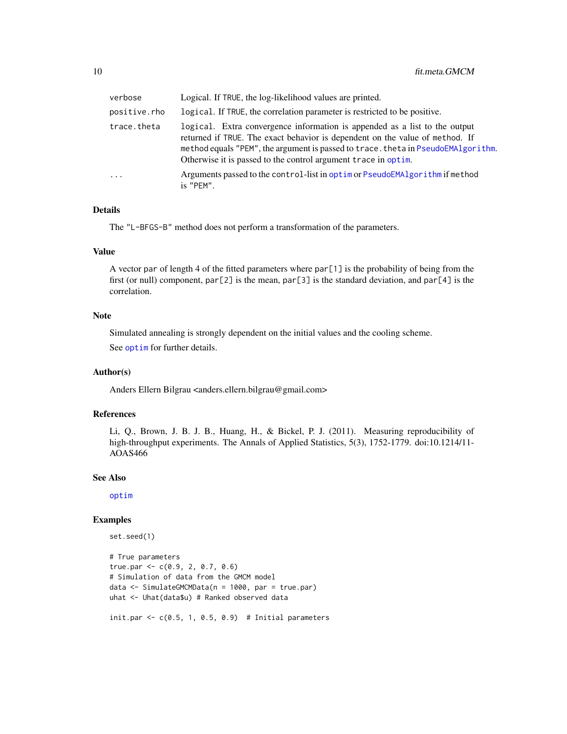<span id="page-9-0"></span>

| verbose      | Logical. If TRUE, the log-likelihood values are printed.                                                                                                                                                                                                                                                          |
|--------------|-------------------------------------------------------------------------------------------------------------------------------------------------------------------------------------------------------------------------------------------------------------------------------------------------------------------|
| positive.rho | logical. If TRUE, the correlation parameter is restricted to be positive.                                                                                                                                                                                                                                         |
| trace.theta  | logical. Extra convergence information is appended as a list to the output<br>returned if TRUE. The exact behavior is dependent on the value of method. If<br>method equals "PEM", the argument is passed to trace. theta in PseudoEMAlgorithm.<br>Otherwise it is passed to the control argument trace in optim. |
| $\ddots$ .   | Arguments passed to the control-list in optim or PseudoEMAlgorithm if method<br>is "PEM".                                                                                                                                                                                                                         |

# Details

The "L-BFGS-B" method does not perform a transformation of the parameters.

#### Value

A vector par of length 4 of the fitted parameters where  $par[1]$  is the probability of being from the first (or null) component, par[2] is the mean, par[3] is the standard deviation, and par[4] is the correlation.

#### Note

Simulated annealing is strongly dependent on the initial values and the cooling scheme.

See [optim](#page-0-0) for further details.

# Author(s)

Anders Ellern Bilgrau <anders.ellern.bilgrau@gmail.com>

# References

Li, Q., Brown, J. B. J. B., Huang, H., & Bickel, P. J. (2011). Measuring reproducibility of high-throughput experiments. The Annals of Applied Statistics, 5(3), 1752-1779. doi:10.1214/11-AOAS466

#### See Also

[optim](#page-0-0)

# Examples

```
set.seed(1)
```

```
# True parameters
true.par <-c(0.9, 2, 0.7, 0.6)# Simulation of data from the GMCM model
data <- SimulateGMCMData(n = 1000, par = true.par)
uhat <- Uhat(data$u) # Ranked observed data
```
init.par  $\leq c(0.5, 1, 0.5, 0.9)$  # Initial parameters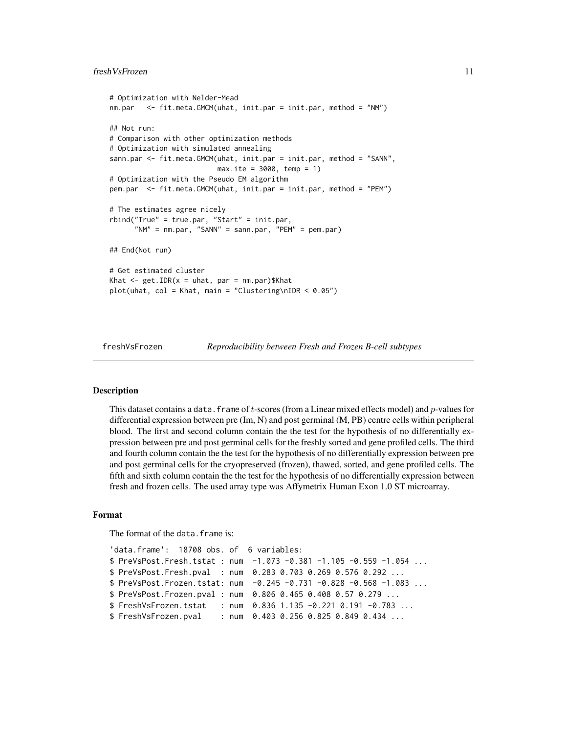#### <span id="page-10-0"></span>freshVsFrozen 11

```
# Optimization with Nelder-Mead
nm.par <- fit.meta.GMCM(uhat, init.par = init.par, method = "NM")
## Not run:
# Comparison with other optimization methods
# Optimization with simulated annealing
sann.par <- fit.meta.GMCM(uhat, init.par = init.par, method = "SANN",
                          max.ite = 3000, temp = 1)
# Optimization with the Pseudo EM algorithm
pem.par <- fit.meta.GMCM(uhat, init.par = init.par, method = "PEM")
# The estimates agree nicely
rbind("True" = true.par, "Start" = init.par,
      "NM" = nm.par, "SANN" = sann.par, "PEM" = pem.par)
## End(Not run)
# Get estimated cluster
Khat \leq get. IDR(x = uhat, par = nm.par) $Khat
plot(uhat, col = Khat, main = "Clustering\nIDR < 0.05")
```
freshVsFrozen *Reproducibility between Fresh and Frozen B-cell subtypes*

#### Description

This dataset contains a data. frame of t-scores (from a Linear mixed effects model) and  $p$ -values for differential expression between pre (Im, N) and post germinal (M, PB) centre cells within peripheral blood. The first and second column contain the the test for the hypothesis of no differentially expression between pre and post germinal cells for the freshly sorted and gene profiled cells. The third and fourth column contain the the test for the hypothesis of no differentially expression between pre and post germinal cells for the cryopreserved (frozen), thawed, sorted, and gene profiled cells. The fifth and sixth column contain the the test for the hypothesis of no differentially expression between fresh and frozen cells. The used array type was Affymetrix Human Exon 1.0 ST microarray.

# Format

The format of the data, frame is:

```
'data.frame': 18708 obs. of 6 variables:
$ PreVsPost.Fresh.tstat : num -1.073 -0.381 -1.105 -0.559 -1.054 ...
$ PreVsPost.Fresh.pval : num 0.283 0.703 0.269 0.576 0.292 ...
$ PreVsPost.Frozen.tstat: num -0.245 -0.731 -0.828 -0.568 -1.083 ...
$ PreVsPost.Frozen.pval : num 0.806 0.465 0.408 0.57 0.279 ...
$ FreshVsFrozen.tstat : num 0.836 1.135 -0.221 0.191 -0.783 ...
$ FreshVsFrozen.pval : num 0.403 0.256 0.825 0.849 0.434 ...
```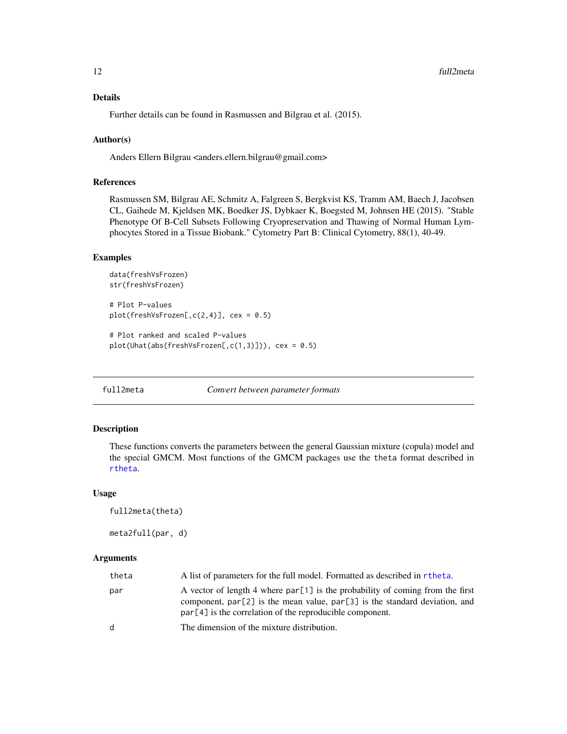# <span id="page-11-0"></span>Details

Further details can be found in Rasmussen and Bilgrau et al. (2015).

#### Author(s)

Anders Ellern Bilgrau <anders.ellern.bilgrau@gmail.com>

# References

Rasmussen SM, Bilgrau AE, Schmitz A, Falgreen S, Bergkvist KS, Tramm AM, Baech J, Jacobsen CL, Gaihede M, Kjeldsen MK, Boedker JS, Dybkaer K, Boegsted M, Johnsen HE (2015). "Stable Phenotype Of B-Cell Subsets Following Cryopreservation and Thawing of Normal Human Lymphocytes Stored in a Tissue Biobank." Cytometry Part B: Clinical Cytometry, 88(1), 40-49.

#### Examples

```
data(freshVsFrozen)
str(freshVsFrozen)
# Plot P-values
plot(freshVsFrozen[,c(2,4)], cex = 0.5)
```

```
# Plot ranked and scaled P-values
plot(Uhat(abs(freshVsFrozen[,c(1,3)])), cex = 0.5)
```
<span id="page-11-1"></span>full2meta *Convert between parameter formats*

#### <span id="page-11-2"></span>Description

These functions converts the parameters between the general Gaussian mixture (copula) model and the special GMCM. Most functions of the GMCM packages use the theta format described in [rtheta](#page-15-1).

#### Usage

```
full2meta(theta)
```

```
meta2full(par, d)
```
#### Arguments

| theta        | A list of parameters for the full model. Formatted as described in rtheta.                                                                                                                                                      |
|--------------|---------------------------------------------------------------------------------------------------------------------------------------------------------------------------------------------------------------------------------|
| par          | A vector of length 4 where $par[1]$ is the probability of coming from the first<br>component, $par[2]$ is the mean value, $par[3]$ is the standard deviation, and<br>$par[4]$ is the correlation of the reproducible component. |
| $\mathsf{p}$ | The dimension of the mixture distribution.                                                                                                                                                                                      |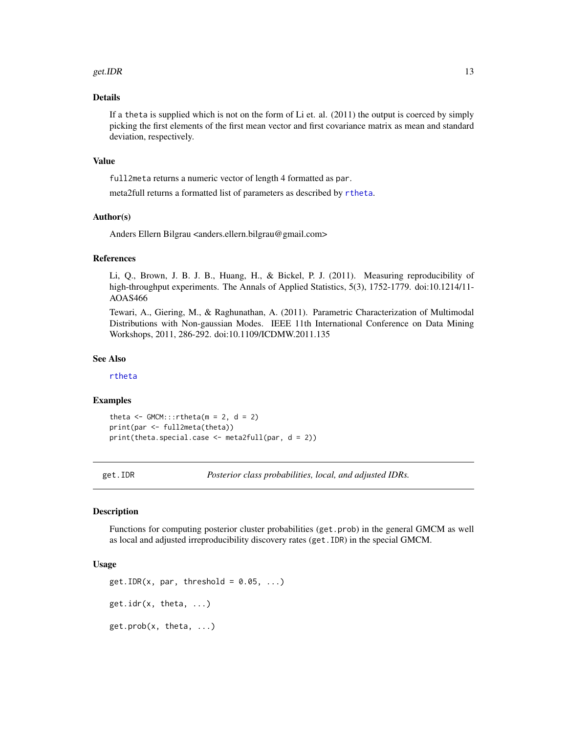#### <span id="page-12-0"></span>get. IDR  $\qquad \qquad$  13

# Details

If a theta is supplied which is not on the form of Li et. al. (2011) the output is coerced by simply picking the first elements of the first mean vector and first covariance matrix as mean and standard deviation, respectively.

#### Value

full2meta returns a numeric vector of length 4 formatted as par.

meta2full returns a formatted list of parameters as described by [rtheta](#page-15-1).

#### Author(s)

Anders Ellern Bilgrau <anders.ellern.bilgrau@gmail.com>

# References

Li, Q., Brown, J. B. J. B., Huang, H., & Bickel, P. J. (2011). Measuring reproducibility of high-throughput experiments. The Annals of Applied Statistics, 5(3), 1752-1779. doi:10.1214/11-AOAS466

Tewari, A., Giering, M., & Raghunathan, A. (2011). Parametric Characterization of Multimodal Distributions with Non-gaussian Modes. IEEE 11th International Conference on Data Mining Workshops, 2011, 286-292. doi:10.1109/ICDMW.2011.135

# See Also

[rtheta](#page-15-1)

#### Examples

```
theta \leq GMCM:::rtheta(m = 2, d = 2)
print(par <- full2meta(theta))
print(theta.special.case <- meta2full(par, d = 2))
```
<span id="page-12-1"></span>get.IDR *Posterior class probabilities, local, and adjusted IDRs.*

#### <span id="page-12-2"></span>Description

Functions for computing posterior cluster probabilities (get.prob) in the general GMCM as well as local and adjusted irreproducibility discovery rates (get.IDR) in the special GMCM.

# Usage

```
get.IDR(x, par, threshold = 0.05, ...)get.idr(x, theta, ...)
get.prob(x, theta, ...)
```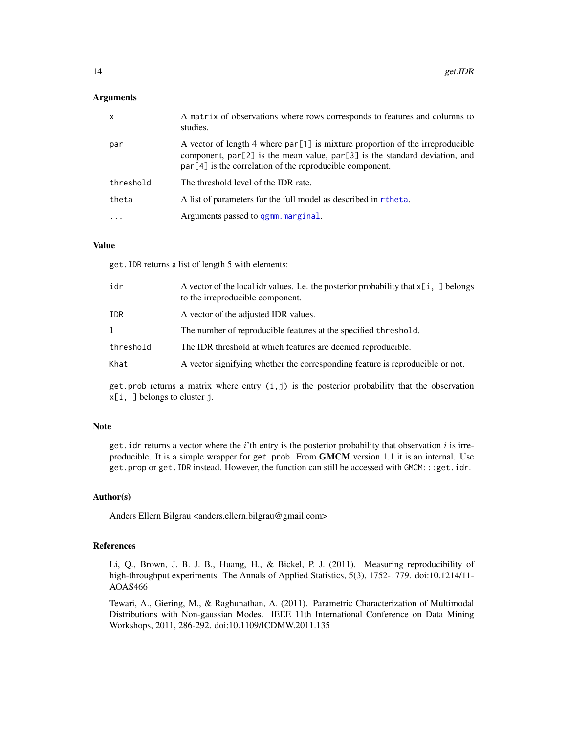#### <span id="page-13-0"></span>**Arguments**

| $\mathsf{x}$ | A matrix of observations where rows corresponds to features and columns to<br>studies.                                                                                                                                          |
|--------------|---------------------------------------------------------------------------------------------------------------------------------------------------------------------------------------------------------------------------------|
| par          | A vector of length 4 where $par[1]$ is mixture proportion of the irreproducible<br>component, $par[2]$ is the mean value, $par[3]$ is the standard deviation, and<br>$par[4]$ is the correlation of the reproducible component. |
| threshold    | The threshold level of the IDR rate.                                                                                                                                                                                            |
| theta        | A list of parameters for the full model as described in rtheta.                                                                                                                                                                 |
|              | Arguments passed to qgmm.marginal.                                                                                                                                                                                              |

#### Value

get.IDR returns a list of length 5 with elements:

| idr       | A vector of the local idr values. I.e. the posterior probability that $x[i, ]$ belongs<br>to the irreproducible component. |
|-----------|----------------------------------------------------------------------------------------------------------------------------|
| IDR       | A vector of the adjusted IDR values.                                                                                       |
| 1         | The number of reproducible features at the specified threshold.                                                            |
| threshold | The IDR threshold at which features are deemed reproducible.                                                               |
| Khat      | A vector signifying whether the corresponding feature is reproducible or not.                                              |

 $get.$  prob returns a matrix where entry  $(i, j)$  is the posterior probability that the observation x[i, ] belongs to cluster j.

#### Note

get. idr returns a vector where the  $i$ 'th entry is the posterior probability that observation  $i$  is irreproducible. It is a simple wrapper for get.prob. From GMCM version 1.1 it is an internal. Use get.prop or get.IDR instead. However, the function can still be accessed with GMCM:::get.idr.

#### Author(s)

Anders Ellern Bilgrau <anders.ellern.bilgrau@gmail.com>

#### References

Li, Q., Brown, J. B. J. B., Huang, H., & Bickel, P. J. (2011). Measuring reproducibility of high-throughput experiments. The Annals of Applied Statistics, 5(3), 1752-1779. doi:10.1214/11- AOAS466

Tewari, A., Giering, M., & Raghunathan, A. (2011). Parametric Characterization of Multimodal Distributions with Non-gaussian Modes. IEEE 11th International Conference on Data Mining Workshops, 2011, 286-292. doi:10.1109/ICDMW.2011.135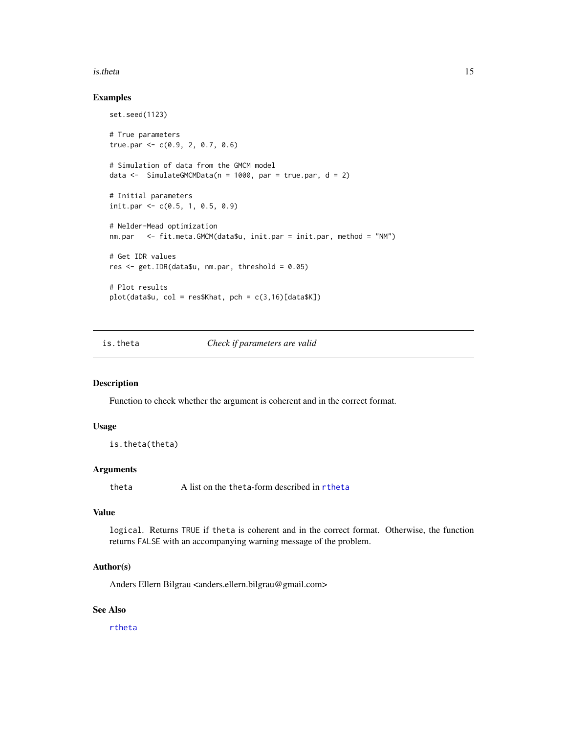#### <span id="page-14-0"></span>is.theta 15

#### Examples

```
set.seed(1123)
# True parameters
true.par <- c(0.9, 2, 0.7, 0.6)
# Simulation of data from the GMCM model
data <- SimulateGMCMData(n = 1000, par = true.par, d = 2)
# Initial parameters
init.par <- c(0.5, 1, 0.5, 0.9)
# Nelder-Mead optimization
nm.par <- fit.meta.GMCM(data$u, init.par = init.par, method = "NM")
# Get IDR values
res <- get.IDR(data$u, nm.par, threshold = 0.05)
# Plot results
plot(data $u, col = res$Khat, pch = c(3,16)[data $K])
```
<span id="page-14-1"></span>is.theta *Check if parameters are valid*

#### Description

Function to check whether the argument is coherent and in the correct format.

#### Usage

```
is.theta(theta)
```
#### Arguments

theta A list on the theta-form described in [rtheta](#page-15-1)

# Value

logical. Returns TRUE if theta is coherent and in the correct format. Otherwise, the function returns FALSE with an accompanying warning message of the problem.

#### Author(s)

Anders Ellern Bilgrau <anders.ellern.bilgrau@gmail.com>

# See Also

[rtheta](#page-15-1)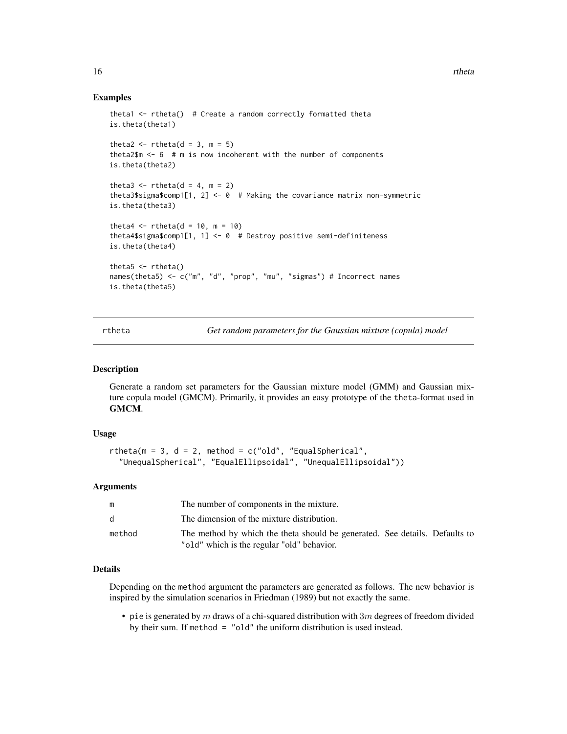#### Examples

```
theta1 \le- rtheta() # Create a random correctly formatted theta
is.theta(theta1)
theta2 \leftarrow rtheta(d = 3, m = 5)
theta2$m <- 6 # m is now incoherent with the number of components
is.theta(theta2)
theta3 \le rtheta(d = 4, m = 2)
theta3$sigma$comp1[1, 2] <- 0 # Making the covariance matrix non-symmetric
is.theta(theta3)
theta4 \leftarrow rtheta(d = 10, m = 10)
theta4$sigma$comp1[1, 1] <- 0 # Destroy positive semi-definiteness
is.theta(theta4)
theta5 \leq- rtheta()
names(theta5) <- c("m", "d", "prop", "mu", "sigmas") # Incorrect names
is.theta(theta5)
```
<span id="page-15-1"></span>rtheta *Get random parameters for the Gaussian mixture (copula) model*

#### Description

Generate a random set parameters for the Gaussian mixture model (GMM) and Gaussian mixture copula model (GMCM). Primarily, it provides an easy prototype of the theta-format used in GMCM.

### Usage

```
rtheta(m = 3, d = 2, method = c("old", "EqualSpherical",
  "UnequalSpherical", "EqualEllipsoidal", "UnequalEllipsoidal"))
```
#### Arguments

| m      | The number of components in the mixture.                                                                                  |
|--------|---------------------------------------------------------------------------------------------------------------------------|
| d.     | The dimension of the mixture distribution.                                                                                |
| method | The method by which the theta should be generated. See details. Defaults to<br>"old" which is the regular "old" behavior. |

#### Details

Depending on the method argument the parameters are generated as follows. The new behavior is inspired by the simulation scenarios in Friedman (1989) but not exactly the same.

• pie is generated by m draws of a chi-squared distribution with  $3m$  degrees of freedom divided by their sum. If method = "old" the uniform distribution is used instead.

<span id="page-15-0"></span>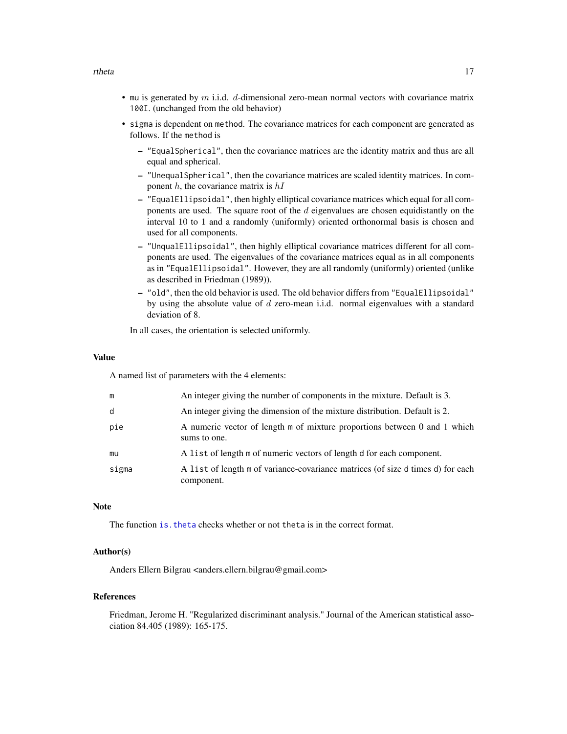#### <span id="page-16-0"></span>rtheta 17

- mu is generated by  $m$  i.i.d.  $d$ -dimensional zero-mean normal vectors with covariance matrix 100I. (unchanged from the old behavior)
- sigma is dependent on method. The covariance matrices for each component are generated as follows. If the method is
	- "EqualSpherical", then the covariance matrices are the identity matrix and thus are all equal and spherical.
	- "UnequalSpherical", then the covariance matrices are scaled identity matrices. In component  $h$ , the covariance matrix is  $hI$
	- "EqualEllipsoidal", then highly elliptical covariance matrices which equal for all components are used. The square root of the  $d$  eigenvalues are chosen equidistantly on the interval 10 to 1 and a randomly (uniformly) oriented orthonormal basis is chosen and used for all components.
	- "UnqualEllipsoidal", then highly elliptical covariance matrices different for all components are used. The eigenvalues of the covariance matrices equal as in all components as in "EqualEllipsoidal". However, they are all randomly (uniformly) oriented (unlike as described in Friedman (1989)).
	- "old", then the old behavior is used. The old behavior differs from "EqualEllipsoidal" by using the absolute value of d zero-mean i.i.d. normal eigenvalues with a standard deviation of 8.

In all cases, the orientation is selected uniformly.

#### Value

A named list of parameters with the 4 elements:

| m     | An integer giving the number of components in the mixture. Default is 3.                      |
|-------|-----------------------------------------------------------------------------------------------|
| d     | An integer giving the dimension of the mixture distribution. Default is 2.                    |
| pie   | A numeric vector of length m of mixture proportions between 0 and 1 which<br>sums to one.     |
| mu    | A list of length m of numeric vectors of length d for each component.                         |
| sigma | A list of length m of variance-covariance matrices (of size d times d) for each<br>component. |

#### **Note**

The function is. theta checks whether or not theta is in the correct format.

# Author(s)

Anders Ellern Bilgrau <anders.ellern.bilgrau@gmail.com>

#### References

Friedman, Jerome H. "Regularized discriminant analysis." Journal of the American statistical association 84.405 (1989): 165-175.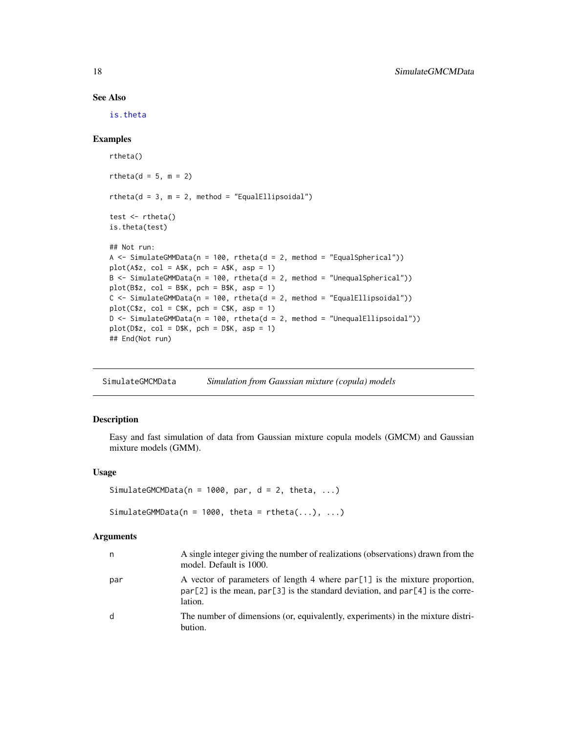# See Also

[is.theta](#page-14-1)

# Examples

```
rtheta()
rtheta(d = 5, m = 2)
rtheta(d = 3, m = 2, method = "EqualEllipsoidal")test <- rtheta()
is.theta(test)
## Not run:
A \le SimulateGMMData(n = 100, rtheta(d = 2, method = "EqualSpherical"))
plot(A$z, col = A$K, pch = A$K, asp = 1)B \le - SimulateGMMData(n = 100, rtheta(d = 2, method = "UnequalSpherical"))
plot(B$z, col = B$K, pch = B$K, asp = 1)C \leq SimulateGMMData(n = 100, rtheta(d = 2, method = "EqualEllipsoidal"))
plot(C$z, col = C$K, pch = C$K, asp = 1)D \le SimulateGMMData(n = 100, rtheta(d = 2, method = "UnequalEllipsoidal"))
plot(D$z, col = D$K, pch = D$K, asp = 1)## End(Not run)
```
<span id="page-17-1"></span>SimulateGMCMData *Simulation from Gaussian mixture (copula) models*

#### <span id="page-17-2"></span>Description

Easy and fast simulation of data from Gaussian mixture copula models (GMCM) and Gaussian mixture models (GMM).

#### Usage

```
SimulateGMCMData(n = 1000, par, d = 2, theta, ...)
```
SimulateGMMData( $n = 1000$ , theta = rtheta(...), ...)

#### **Arguments**

| n   | A single integer giving the number of realizations (observations) drawn from the<br>model. Default is 1000.                                                                   |
|-----|-------------------------------------------------------------------------------------------------------------------------------------------------------------------------------|
| par | A vector of parameters of length 4 where par[1] is the mixture proportion,<br>$par[2]$ is the mean, $par[3]$ is the standard deviation, and $par[4]$ is the corre-<br>lation. |
| d   | The number of dimensions (or, equivalently, experiments) in the mixture distri-<br>bution.                                                                                    |

<span id="page-17-0"></span>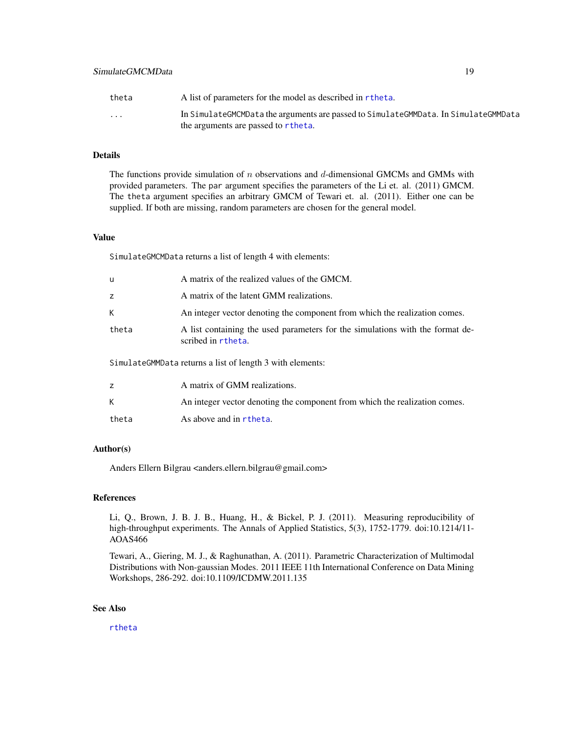<span id="page-18-0"></span>

| theta                   | A list of parameters for the model as described in rtheta.                          |
|-------------------------|-------------------------------------------------------------------------------------|
| $\cdot$ $\cdot$ $\cdot$ | In SimulateGMCMData the arguments are passed to SimulateGMMData. In SimulateGMMData |
|                         | the arguments are passed to rtheta.                                                 |

# Details

The functions provide simulation of  $n$  observations and  $d$ -dimensional GMCMs and GMMs with provided parameters. The par argument specifies the parameters of the Li et. al. (2011) GMCM. The theta argument specifies an arbitrary GMCM of Tewari et. al. (2011). Either one can be supplied. If both are missing, random parameters are chosen for the general model.

#### Value

SimulateGMCMData returns a list of length 4 with elements:

| u     | A matrix of the realized values of the GMCM.                                                        |
|-------|-----------------------------------------------------------------------------------------------------|
| z     | A matrix of the latent GMM realizations.                                                            |
| K     | An integer vector denoting the component from which the realization comes.                          |
| theta | A list containing the used parameters for the simulations with the format de-<br>scribed in rtheta. |
|       | SimulateGMMData returns a list of length 3 with elements:                                           |
| Z     | A matrix of GMM realizations.                                                                       |
| K     | An integer vector denoting the component from which the realization comes.                          |
| theta | As above and in rtheta.                                                                             |

#### Author(s)

Anders Ellern Bilgrau <anders.ellern.bilgrau@gmail.com>

#### References

Li, Q., Brown, J. B. J. B., Huang, H., & Bickel, P. J. (2011). Measuring reproducibility of high-throughput experiments. The Annals of Applied Statistics, 5(3), 1752-1779. doi:10.1214/11- AOAS466

Tewari, A., Giering, M. J., & Raghunathan, A. (2011). Parametric Characterization of Multimodal Distributions with Non-gaussian Modes. 2011 IEEE 11th International Conference on Data Mining Workshops, 286-292. doi:10.1109/ICDMW.2011.135

# See Also

[rtheta](#page-15-1)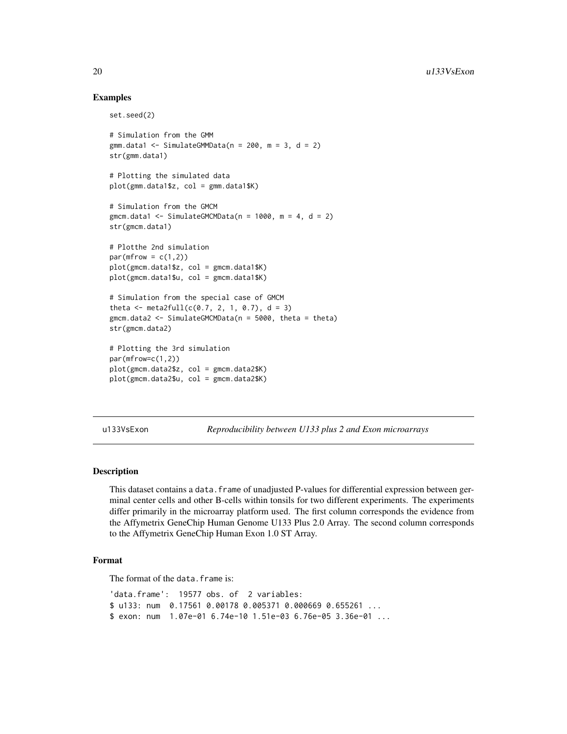# Examples

```
set.seed(2)
# Simulation from the GMM
gmm.data1 <- SimulateGMMData(n = 200, m = 3, d = 2)
str(gmm.data1)
# Plotting the simulated data
plot(gmm.data1$z, col = gmm.data1$K)
# Simulation from the GMCM
gmcm.data1 <- SimulateGMCMData(n = 1000, m = 4, d = 2)
str(gmcm.data1)
# Plotthe 2nd simulation
par(mfrow = c(1,2))plot(gmcm.data1$z, col = gmcm.data1$K)
plot(gmcm.data1$u, col = gmcm.data1$K)
# Simulation from the special case of GMCM
theta \leq meta2full(c(0.7, 2, 1, 0.7), d = 3)
gmcm.data2 <- SimulateGMCMData(n = 5000, theta = theta)
str(gmcm.data2)
# Plotting the 3rd simulation
par(mfrow=c(1,2))
plot(gmcm.data2$z, col = gmcm.data2$K)
```
u133VsExon *Reproducibility between U133 plus 2 and Exon microarrays*

#### Description

This dataset contains a data. frame of unadjusted P-values for differential expression between germinal center cells and other B-cells within tonsils for two different experiments. The experiments differ primarily in the microarray platform used. The first column corresponds the evidence from the Affymetrix GeneChip Human Genome U133 Plus 2.0 Array. The second column corresponds to the Affymetrix GeneChip Human Exon 1.0 ST Array.

# Format

The format of the data.frame is:

plot(gmcm.data2\$u, col = gmcm.data2\$K)

'data.frame': 19577 obs. of 2 variables: \$ u133: num 0.17561 0.00178 0.005371 0.000669 0.655261 ... \$ exon: num 1.07e-01 6.74e-10 1.51e-03 6.76e-05 3.36e-01 ...

<span id="page-19-0"></span>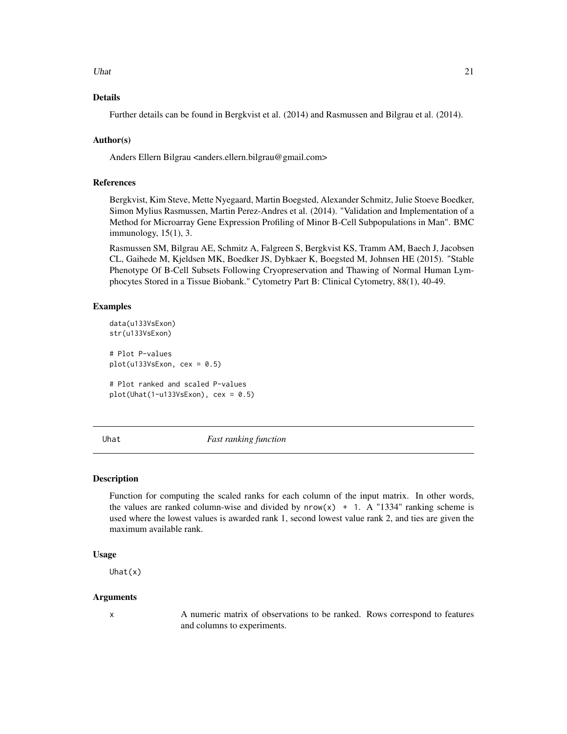<span id="page-20-0"></span>Uhat  $21$ 

# Details

Further details can be found in Bergkvist et al. (2014) and Rasmussen and Bilgrau et al. (2014).

#### Author(s)

Anders Ellern Bilgrau <anders.ellern.bilgrau@gmail.com>

#### References

Bergkvist, Kim Steve, Mette Nyegaard, Martin Boegsted, Alexander Schmitz, Julie Stoeve Boedker, Simon Mylius Rasmussen, Martin Perez-Andres et al. (2014). "Validation and Implementation of a Method for Microarray Gene Expression Profiling of Minor B-Cell Subpopulations in Man". BMC immunology, 15(1), 3.

Rasmussen SM, Bilgrau AE, Schmitz A, Falgreen S, Bergkvist KS, Tramm AM, Baech J, Jacobsen CL, Gaihede M, Kjeldsen MK, Boedker JS, Dybkaer K, Boegsted M, Johnsen HE (2015). "Stable Phenotype Of B-Cell Subsets Following Cryopreservation and Thawing of Normal Human Lymphocytes Stored in a Tissue Biobank." Cytometry Part B: Clinical Cytometry, 88(1), 40-49.

#### Examples

```
data(u133VsExon)
str(u133VsExon)
```

```
# Plot P-values
plot(u133VsExon, cex = 0.5)
```

```
# Plot ranked and scaled P-values
plot(Unit(1-u133VsExon), cex = 0.5)
```
<span id="page-20-1"></span>

Uhat *Fast ranking function*

#### Description

Function for computing the scaled ranks for each column of the input matrix. In other words, the values are ranked column-wise and divided by  $nrow(x) + 1$ . A "1334" ranking scheme is used where the lowest values is awarded rank 1, second lowest value rank 2, and ties are given the maximum available rank.

# Usage

Uhat(x)

#### Arguments

x A numeric matrix of observations to be ranked. Rows correspond to features and columns to experiments.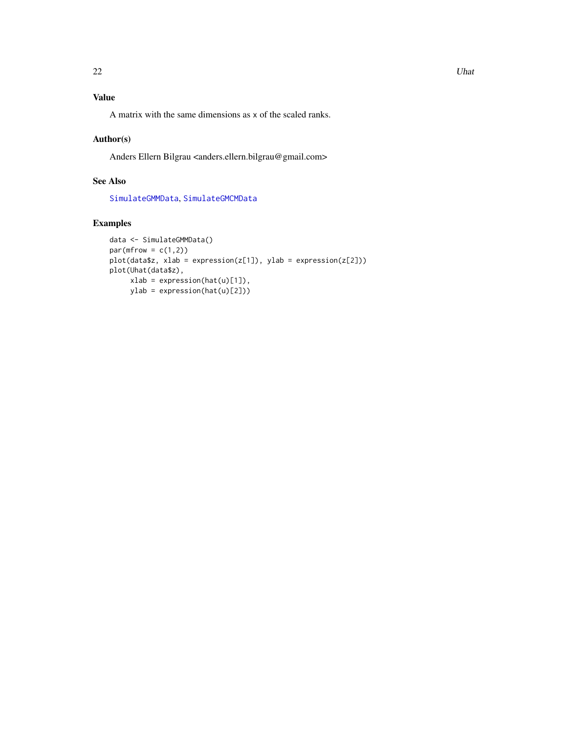# <span id="page-21-0"></span>Value

A matrix with the same dimensions as x of the scaled ranks.

# Author(s)

Anders Ellern Bilgrau <anders.ellern.bilgrau@gmail.com>

# See Also

[SimulateGMMData](#page-17-2), [SimulateGMCMData](#page-17-1)

# Examples

```
data <- SimulateGMMData()
par(mfrow = c(1,2))plot(data$z, xlab = expression(z[1]), ylab = expression(z[2]))
plot(Uhat(data$z),
     xlab = expression(hat(u)[1]),
     ylab = expression(hat(u)[2]))
```